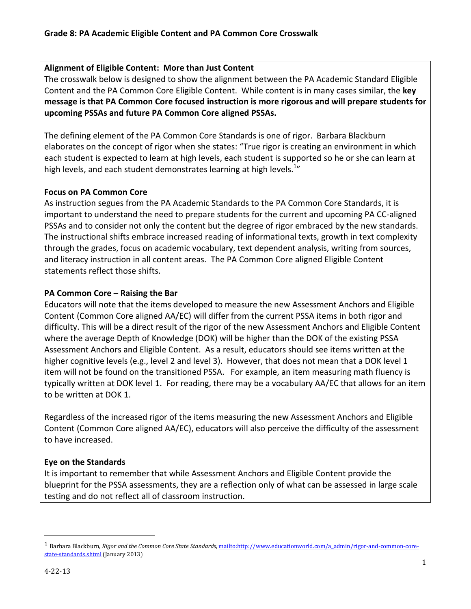#### Alignment of Eligible Content: More than Just Content

The crosswalk below is designed to show the alignment between the PA Academic Standard Eligible Content and the PA Common Core Eligible Content. While content is in many cases similar, the key message is that PA Common Core focused instruction is more rigorous and will prepare students for upcoming PSSAs and future PA Common Core aligned PSSAs.

The defining element of the PA Common Core Standards is one of rigor. Barbara Blackburn elaborates on the concept of rigor when she states: "True rigor is creating an environment in which each student is expected to learn at high levels, each student is supported so he or she can learn at high levels, and each student demonstrates learning at high levels. $^{1n}$ 

# Focus on PA Common Core

As instruction segues from the PA Academic Standards to the PA Common Core Standards, it is important to understand the need to prepare students for the current and upcoming PA CC-aligned PSSAs and to consider not only the content but the degree of rigor embraced by the new standards. The instructional shifts embrace increased reading of informational texts, growth in text complexity through the grades, focus on academic vocabulary, text dependent analysis, writing from sources, and literacy instruction in all content areas. The PA Common Core aligned Eligible Content statements reflect those shifts.

# PA Common Core – Raising the Bar

Educators will note that the items developed to measure the new Assessment Anchors and Eligible Content (Common Core aligned AA/EC) will differ from the current PSSA items in both rigor and difficulty. This will be a direct result of the rigor of the new Assessment Anchors and Eligible Content where the average Depth of Knowledge (DOK) will be higher than the DOK of the existing PSSA Assessment Anchors and Eligible Content. As a result, educators should see items written at the higher cognitive levels (e.g., level 2 and level 3). However, that does not mean that a DOK level 1 item will not be found on the transitioned PSSA. For example, an item measuring math fluency is typically written at DOK level 1. For reading, there may be a vocabulary AA/EC that allows for an item to be written at DOK 1.

Regardless of the increased rigor of the items measuring the new Assessment Anchors and Eligible Content (Common Core aligned AA/EC), educators will also perceive the difficulty of the assessment to have increased.

# Eye on the Standards

It is important to remember that while Assessment Anchors and Eligible Content provide the blueprint for the PSSA assessments, they are a reflection only of what can be assessed in large scale testing and do not reflect all of classroom instruction.

 $\overline{a}$ 

<sup>&</sup>lt;sup>1</sup> Barbara Blackburn, Rigor and the Common Core State Standards, mailto:http://www.educationworld.com/a\_admin/rigor-and-common-corestate-standards.shtml (January 2013)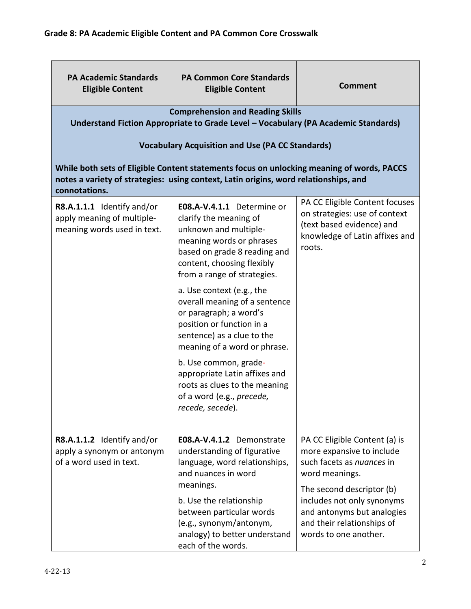| <b>PA Academic Standards</b><br><b>Eligible Content</b>                                 | <b>PA Common Core Standards</b><br><b>Eligible Content</b>                                                                                                                                             | <b>Comment</b>                                                                                                                           |  |
|-----------------------------------------------------------------------------------------|--------------------------------------------------------------------------------------------------------------------------------------------------------------------------------------------------------|------------------------------------------------------------------------------------------------------------------------------------------|--|
|                                                                                         | <b>Comprehension and Reading Skills</b><br>Understand Fiction Appropriate to Grade Level - Vocabulary (PA Academic Standards)                                                                          |                                                                                                                                          |  |
|                                                                                         | <b>Vocabulary Acquisition and Use (PA CC Standards)</b>                                                                                                                                                |                                                                                                                                          |  |
| connotations.                                                                           | While both sets of Eligible Content statements focus on unlocking meaning of words, PACCS<br>notes a variety of strategies: using context, Latin origins, word relationships, and                      |                                                                                                                                          |  |
| R8.A.1.1.1 Identify and/or<br>apply meaning of multiple-<br>meaning words used in text. | E08.A-V.4.1.1 Determine or<br>clarify the meaning of<br>unknown and multiple-<br>meaning words or phrases<br>based on grade 8 reading and<br>content, choosing flexibly<br>from a range of strategies. | PA CC Eligible Content focuses<br>on strategies: use of context<br>(text based evidence) and<br>knowledge of Latin affixes and<br>roots. |  |
|                                                                                         | a. Use context (e.g., the<br>overall meaning of a sentence<br>or paragraph; a word's<br>position or function in a<br>sentence) as a clue to the<br>meaning of a word or phrase.                        |                                                                                                                                          |  |
|                                                                                         | b. Use common, grade-<br>appropriate Latin affixes and<br>roots as clues to the meaning<br>of a word (e.g., precede,<br>recede, secede).                                                               |                                                                                                                                          |  |
| R8.A.1.1.2 Identify and/or<br>apply a synonym or antonym<br>of a word used in text.     | E08.A-V.4.1.2 Demonstrate<br>understanding of figurative<br>language, word relationships,<br>and nuances in word<br>meanings.                                                                          | PA CC Eligible Content (a) is<br>more expansive to include<br>such facets as nuances in<br>word meanings.<br>The second descriptor (b)   |  |
|                                                                                         | b. Use the relationship<br>between particular words<br>(e.g., synonym/antonym,<br>analogy) to better understand<br>each of the words.                                                                  | includes not only synonyms<br>and antonyms but analogies<br>and their relationships of<br>words to one another.                          |  |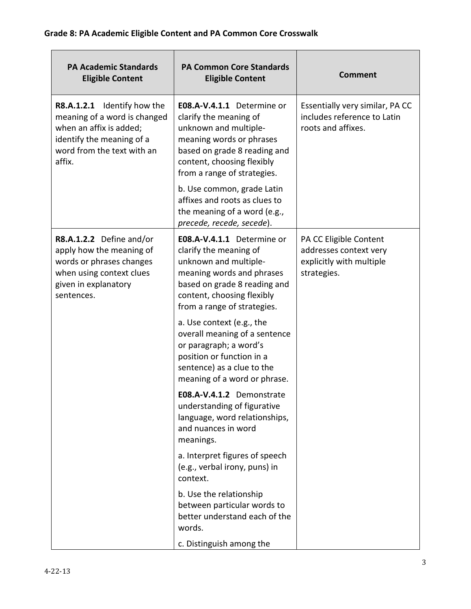| <b>PA Academic Standards</b><br><b>Eligible Content</b>                                                                                                        | <b>PA Common Core Standards</b><br><b>Eligible Content</b>                                                                                                                                              | <b>Comment</b>                                                                              |
|----------------------------------------------------------------------------------------------------------------------------------------------------------------|---------------------------------------------------------------------------------------------------------------------------------------------------------------------------------------------------------|---------------------------------------------------------------------------------------------|
| Identify how the<br>R8.A.1.2.1<br>meaning of a word is changed<br>when an affix is added;<br>identify the meaning of a<br>word from the text with an<br>affix. | E08.A-V.4.1.1 Determine or<br>clarify the meaning of<br>unknown and multiple-<br>meaning words or phrases<br>based on grade 8 reading and<br>content, choosing flexibly<br>from a range of strategies.  | Essentially very similar, PA CC<br>includes reference to Latin<br>roots and affixes.        |
|                                                                                                                                                                | b. Use common, grade Latin<br>affixes and roots as clues to<br>the meaning of a word (e.g.,<br>precede, recede, secede).                                                                                |                                                                                             |
| R8.A.1.2.2 Define and/or<br>apply how the meaning of<br>words or phrases changes<br>when using context clues<br>given in explanatory<br>sentences.             | E08.A-V.4.1.1 Determine or<br>clarify the meaning of<br>unknown and multiple-<br>meaning words and phrases<br>based on grade 8 reading and<br>content, choosing flexibly<br>from a range of strategies. | PA CC Eligible Content<br>addresses context very<br>explicitly with multiple<br>strategies. |
|                                                                                                                                                                | a. Use context (e.g., the<br>overall meaning of a sentence<br>or paragraph; a word's<br>position or function in a<br>sentence) as a clue to the<br>meaning of a word or phrase.                         |                                                                                             |
|                                                                                                                                                                | E08.A-V.4.1.2 Demonstrate<br>understanding of figurative<br>language, word relationships,<br>and nuances in word<br>meanings.                                                                           |                                                                                             |
|                                                                                                                                                                | a. Interpret figures of speech<br>(e.g., verbal irony, puns) in<br>context.                                                                                                                             |                                                                                             |
|                                                                                                                                                                | b. Use the relationship<br>between particular words to<br>better understand each of the<br>words.                                                                                                       |                                                                                             |
|                                                                                                                                                                | c. Distinguish among the                                                                                                                                                                                |                                                                                             |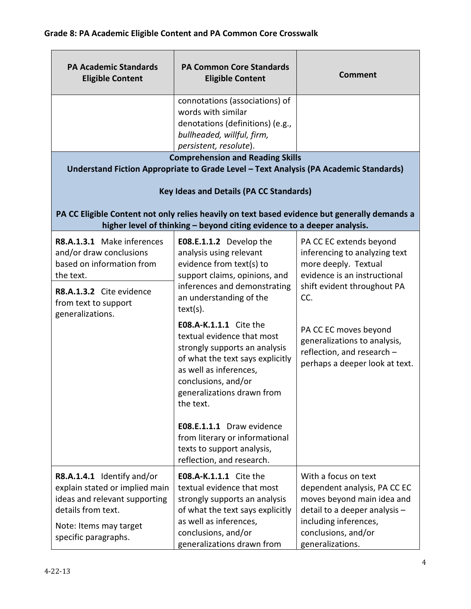| <b>PA Academic Standards</b><br><b>Eligible Content</b>                                                                                                                 | <b>PA Common Core Standards</b><br><b>Eligible Content</b>                                                                                                                                                                                                                                                          | <b>Comment</b>                                                                                                                                                                                                                                                                  |
|-------------------------------------------------------------------------------------------------------------------------------------------------------------------------|---------------------------------------------------------------------------------------------------------------------------------------------------------------------------------------------------------------------------------------------------------------------------------------------------------------------|---------------------------------------------------------------------------------------------------------------------------------------------------------------------------------------------------------------------------------------------------------------------------------|
|                                                                                                                                                                         | connotations (associations) of<br>words with similar<br>denotations (definitions) (e.g.,<br>bullheaded, willful, firm,<br>persistent, resolute).                                                                                                                                                                    |                                                                                                                                                                                                                                                                                 |
|                                                                                                                                                                         | <b>Comprehension and Reading Skills</b><br>Understand Fiction Appropriate to Grade Level - Text Analysis (PA Academic Standards)                                                                                                                                                                                    |                                                                                                                                                                                                                                                                                 |
|                                                                                                                                                                         | <b>Key Ideas and Details (PA CC Standards)</b>                                                                                                                                                                                                                                                                      |                                                                                                                                                                                                                                                                                 |
|                                                                                                                                                                         | PA CC Eligible Content not only relies heavily on text based evidence but generally demands a<br>higher level of thinking - beyond citing evidence to a deeper analysis.                                                                                                                                            |                                                                                                                                                                                                                                                                                 |
| R8.A.1.3.1 Make inferences<br>and/or draw conclusions<br>based on information from<br>the text.<br>R8.A.1.3.2 Cite evidence<br>from text to support<br>generalizations. | E08.E.1.1.2 Develop the<br>analysis using relevant<br>evidence from text(s) to<br>support claims, opinions, and<br>inferences and demonstrating<br>an understanding of the<br>text(s).<br>E08.A-K.1.1.1 Cite the<br>textual evidence that most<br>strongly supports an analysis<br>of what the text says explicitly | PA CC EC extends beyond<br>inferencing to analyzing text<br>more deeply. Textual<br>evidence is an instructional<br>shift evident throughout PA<br>CC.<br>PA CC EC moves beyond<br>generalizations to analysis,<br>reflection, and research -<br>perhaps a deeper look at text. |
|                                                                                                                                                                         | as well as inferences,<br>conclusions, and/or<br>generalizations drawn from<br>the text.<br>E08.E.1.1.1 Draw evidence<br>from literary or informational                                                                                                                                                             |                                                                                                                                                                                                                                                                                 |
|                                                                                                                                                                         | texts to support analysis,<br>reflection, and research.                                                                                                                                                                                                                                                             |                                                                                                                                                                                                                                                                                 |
| R8.A.1.4.1 Identify and/or<br>explain stated or implied main<br>ideas and relevant supporting<br>details from text.<br>Note: Items may target<br>specific paragraphs.   | E08.A-K.1.1.1 Cite the<br>textual evidence that most<br>strongly supports an analysis<br>of what the text says explicitly<br>as well as inferences,<br>conclusions, and/or<br>generalizations drawn from                                                                                                            | With a focus on text<br>dependent analysis, PA CC EC<br>moves beyond main idea and<br>detail to a deeper analysis -<br>including inferences,<br>conclusions, and/or<br>generalizations.                                                                                         |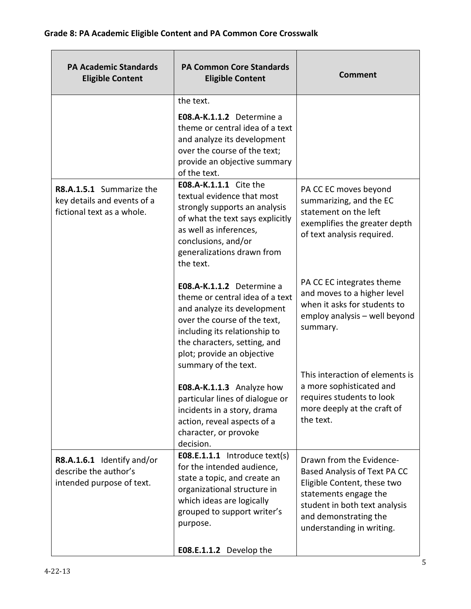| <b>PA Academic Standards</b><br><b>Eligible Content</b>                               | <b>PA Common Core Standards</b><br><b>Eligible Content</b>                                                                                                                                                                                         | <b>Comment</b>                                                                                                                                                                                          |
|---------------------------------------------------------------------------------------|----------------------------------------------------------------------------------------------------------------------------------------------------------------------------------------------------------------------------------------------------|---------------------------------------------------------------------------------------------------------------------------------------------------------------------------------------------------------|
|                                                                                       | the text.<br>E08.A-K.1.1.2 Determine a<br>theme or central idea of a text<br>and analyze its development<br>over the course of the text;<br>provide an objective summary<br>of the text.                                                           |                                                                                                                                                                                                         |
| R8.A.1.5.1 Summarize the<br>key details and events of a<br>fictional text as a whole. | <b>E08.A-K.1.1.1</b> Cite the<br>textual evidence that most<br>strongly supports an analysis<br>of what the text says explicitly<br>as well as inferences,<br>conclusions, and/or<br>generalizations drawn from<br>the text.                       | PA CC EC moves beyond<br>summarizing, and the EC<br>statement on the left<br>exemplifies the greater depth<br>of text analysis required.                                                                |
|                                                                                       | E08.A-K.1.1.2 Determine a<br>theme or central idea of a text<br>and analyze its development<br>over the course of the text,<br>including its relationship to<br>the characters, setting, and<br>plot; provide an objective<br>summary of the text. | PA CC EC integrates theme<br>and moves to a higher level<br>when it asks for students to<br>employ analysis - well beyond<br>summary.                                                                   |
|                                                                                       | E08.A-K.1.1.3 Analyze how<br>particular lines of dialogue or<br>incidents in a story, drama<br>action, reveal aspects of a<br>character, or provoke<br>decision.                                                                                   | This interaction of elements is<br>a more sophisticated and<br>requires students to look<br>more deeply at the craft of<br>the text.                                                                    |
| R8.A.1.6.1 Identify and/or<br>describe the author's<br>intended purpose of text.      | $E08.E.1.1.1$ Introduce text(s)<br>for the intended audience,<br>state a topic, and create an<br>organizational structure in<br>which ideas are logically<br>grouped to support writer's<br>purpose.                                               | Drawn from the Evidence-<br>Based Analysis of Text PA CC<br>Eligible Content, these two<br>statements engage the<br>student in both text analysis<br>and demonstrating the<br>understanding in writing. |
|                                                                                       | E08.E.1.1.2 Develop the                                                                                                                                                                                                                            |                                                                                                                                                                                                         |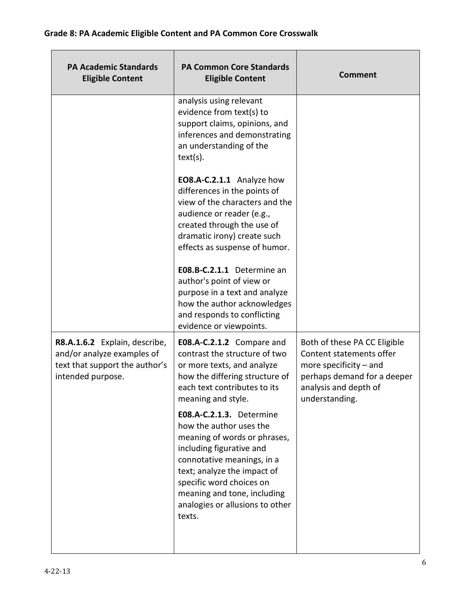| <b>PA Academic Standards</b><br><b>Eligible Content</b>                                                            | <b>PA Common Core Standards</b><br><b>Eligible Content</b>                                                                                                                                                                                                                           | <b>Comment</b>                                                                                                                                                 |
|--------------------------------------------------------------------------------------------------------------------|--------------------------------------------------------------------------------------------------------------------------------------------------------------------------------------------------------------------------------------------------------------------------------------|----------------------------------------------------------------------------------------------------------------------------------------------------------------|
|                                                                                                                    | analysis using relevant<br>evidence from text(s) to<br>support claims, opinions, and<br>inferences and demonstrating<br>an understanding of the<br>text(s).                                                                                                                          |                                                                                                                                                                |
|                                                                                                                    | EO8.A-C.2.1.1 Analyze how<br>differences in the points of<br>view of the characters and the<br>audience or reader (e.g.,<br>created through the use of<br>dramatic irony) create such<br>effects as suspense of humor.                                                               |                                                                                                                                                                |
|                                                                                                                    | E08.B-C.2.1.1 Determine an<br>author's point of view or<br>purpose in a text and analyze<br>how the author acknowledges<br>and responds to conflicting<br>evidence or viewpoints.                                                                                                    |                                                                                                                                                                |
| R8.A.1.6.2 Explain, describe,<br>and/or analyze examples of<br>text that support the author's<br>intended purpose. | E08.A-C.2.1.2 Compare and<br>contrast the structure of two<br>or more texts, and analyze<br>how the differing structure of<br>each text contributes to its<br>meaning and style.                                                                                                     | Both of these PA CC Eligible<br>Content statements offer<br>more specificity $-$ and<br>perhaps demand for a deeper<br>analysis and depth of<br>understanding. |
|                                                                                                                    | E08.A-C.2.1.3. Determine<br>how the author uses the<br>meaning of words or phrases,<br>including figurative and<br>connotative meanings, in a<br>text; analyze the impact of<br>specific word choices on<br>meaning and tone, including<br>analogies or allusions to other<br>texts. |                                                                                                                                                                |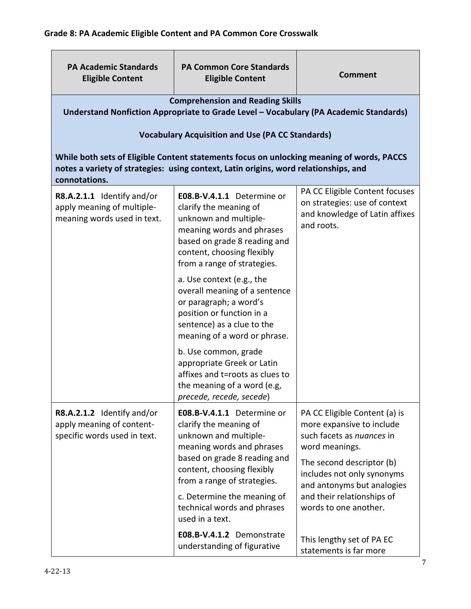| <b>PA Academic Standards</b><br><b>Eligible Content</b>                                                                                                                                            | <b>PA Common Core Standards</b><br><b>Eligible Content</b>                                                                                                                                              | <b>Comment</b>                                                                                                  |  |
|----------------------------------------------------------------------------------------------------------------------------------------------------------------------------------------------------|---------------------------------------------------------------------------------------------------------------------------------------------------------------------------------------------------------|-----------------------------------------------------------------------------------------------------------------|--|
| <b>Comprehension and Reading Skills</b><br>Understand Nonfiction Appropriate to Grade Level - Vocabulary (PA Academic Standards)<br><b>Vocabulary Acquisition and Use (PA CC Standards)</b>        |                                                                                                                                                                                                         |                                                                                                                 |  |
| While both sets of Eligible Content statements focus on unlocking meaning of words, PACCS<br>notes a variety of strategies: using context, Latin origins, word relationships, and<br>connotations. |                                                                                                                                                                                                         |                                                                                                                 |  |
| R8.A.2.1.1 Identify and/or<br>apply meaning of multiple-<br>meaning words used in text.                                                                                                            | E08.B-V.4.1.1 Determine or<br>clarify the meaning of<br>unknown and multiple-<br>meaning words and phrases<br>based on grade 8 reading and<br>content, choosing flexibly<br>from a range of strategies. | PA CC Eligible Content focuses<br>on strategies: use of context<br>and knowledge of Latin affixes<br>and roots. |  |
|                                                                                                                                                                                                    | a. Use context (e.g., the<br>overall meaning of a sentence<br>or paragraph; a word's<br>position or function in a<br>sentence) as a clue to the<br>meaning of a word or phrase.                         |                                                                                                                 |  |
|                                                                                                                                                                                                    | b. Use common, grade<br>appropriate Greek or Latin<br>affixes and t=roots as clues to<br>the meaning of a word (e.g,<br>precede, recede, secede)                                                        |                                                                                                                 |  |
| R8.A.2.1.2 Identify and/or<br>apply meaning of content-<br>specific words used in text.                                                                                                            | E08.B-V.4.1.1 Determine or<br>clarify the meaning of<br>unknown and multiple-<br>meaning words and phrases                                                                                              | PA CC Eligible Content (a) is<br>more expansive to include<br>such facets as nuances in<br>word meanings.       |  |
|                                                                                                                                                                                                    | based on grade 8 reading and<br>content, choosing flexibly<br>from a range of strategies.                                                                                                               | The second descriptor (b)<br>includes not only synonyms<br>and antonyms but analogies                           |  |
|                                                                                                                                                                                                    | c. Determine the meaning of<br>technical words and phrases<br>used in a text.                                                                                                                           | and their relationships of<br>words to one another.                                                             |  |
|                                                                                                                                                                                                    | E08.B-V.4.1.2 Demonstrate<br>understanding of figurative                                                                                                                                                | This lengthy set of PA EC<br>statements is far more                                                             |  |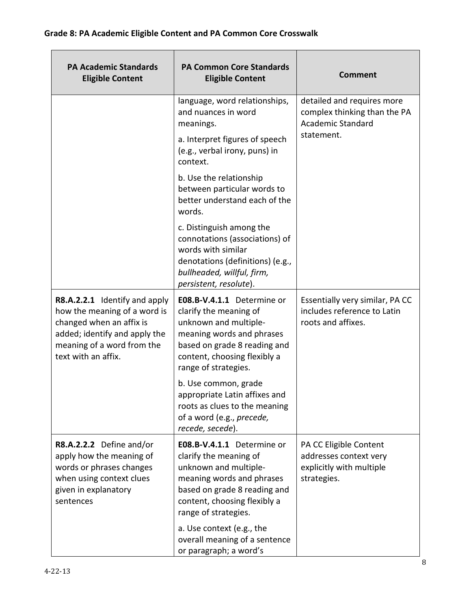| <b>PA Academic Standards</b><br><b>Eligible Content</b>                                                                                                                         | <b>PA Common Core Standards</b><br><b>Eligible Content</b>                                                                                                                                         | <b>Comment</b>                                                                              |
|---------------------------------------------------------------------------------------------------------------------------------------------------------------------------------|----------------------------------------------------------------------------------------------------------------------------------------------------------------------------------------------------|---------------------------------------------------------------------------------------------|
|                                                                                                                                                                                 | language, word relationships,<br>and nuances in word<br>meanings.                                                                                                                                  | detailed and requires more<br>complex thinking than the PA<br><b>Academic Standard</b>      |
|                                                                                                                                                                                 | a. Interpret figures of speech<br>(e.g., verbal irony, puns) in<br>context.                                                                                                                        | statement.                                                                                  |
|                                                                                                                                                                                 | b. Use the relationship<br>between particular words to<br>better understand each of the<br>words.                                                                                                  |                                                                                             |
|                                                                                                                                                                                 | c. Distinguish among the<br>connotations (associations) of<br>words with similar<br>denotations (definitions) (e.g.,<br>bullheaded, willful, firm,<br>persistent, resolute).                       |                                                                                             |
| R8.A.2.2.1 Identify and apply<br>how the meaning of a word is<br>changed when an affix is<br>added; identify and apply the<br>meaning of a word from the<br>text with an affix. | E08.B-V.4.1.1 Determine or<br>clarify the meaning of<br>unknown and multiple-<br>meaning words and phrases<br>based on grade 8 reading and<br>content, choosing flexibly a<br>range of strategies. | Essentially very similar, PA CC<br>includes reference to Latin<br>roots and affixes.        |
|                                                                                                                                                                                 | b. Use common, grade<br>appropriate Latin affixes and<br>roots as clues to the meaning<br>of a word (e.g., precede,<br>recede, secede).                                                            |                                                                                             |
| R8.A.2.2.2 Define and/or<br>apply how the meaning of<br>words or phrases changes<br>when using context clues<br>given in explanatory<br>sentences                               | E08.B-V.4.1.1 Determine or<br>clarify the meaning of<br>unknown and multiple-<br>meaning words and phrases<br>based on grade 8 reading and<br>content, choosing flexibly a<br>range of strategies. | PA CC Eligible Content<br>addresses context very<br>explicitly with multiple<br>strategies. |
|                                                                                                                                                                                 | a. Use context (e.g., the<br>overall meaning of a sentence<br>or paragraph; a word's                                                                                                               |                                                                                             |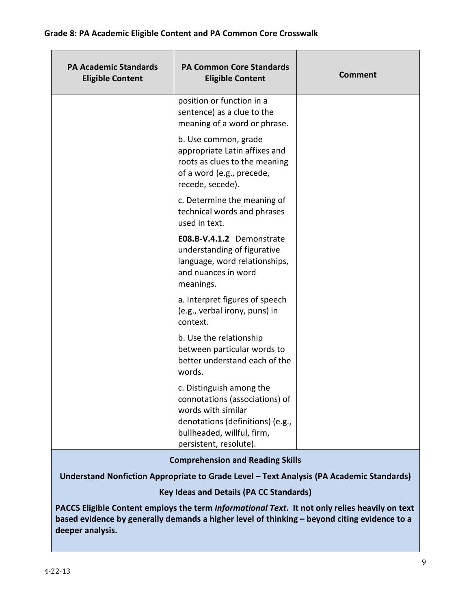| <b>PA Academic Standards</b><br><b>Eligible Content</b> | <b>PA Common Core Standards</b><br><b>Eligible Content</b>                                                                                                                   | <b>Comment</b> |
|---------------------------------------------------------|------------------------------------------------------------------------------------------------------------------------------------------------------------------------------|----------------|
|                                                         | position or function in a<br>sentence) as a clue to the<br>meaning of a word or phrase.                                                                                      |                |
|                                                         | b. Use common, grade<br>appropriate Latin affixes and<br>roots as clues to the meaning<br>of a word (e.g., precede,<br>recede, secede).                                      |                |
|                                                         | c. Determine the meaning of<br>technical words and phrases<br>used in text.                                                                                                  |                |
|                                                         | E08.B-V.4.1.2 Demonstrate<br>understanding of figurative<br>language, word relationships,<br>and nuances in word<br>meanings.                                                |                |
|                                                         | a. Interpret figures of speech<br>(e.g., verbal irony, puns) in<br>context.                                                                                                  |                |
|                                                         | b. Use the relationship<br>between particular words to<br>better understand each of the<br>words.                                                                            |                |
|                                                         | c. Distinguish among the<br>connotations (associations) of<br>words with similar<br>denotations (definitions) (e.g.,<br>bullheaded, willful, firm,<br>persistent, resolute). |                |

#### Comprehension and Reading Skills

Understand Nonfiction Appropriate to Grade Level – Text Analysis (PA Academic Standards)

#### Key Ideas and Details (PA CC Standards)

PACCS Eligible Content employs the term Informational Text. It not only relies heavily on text based evidence by generally demands a higher level of thinking – beyond citing evidence to a deeper analysis.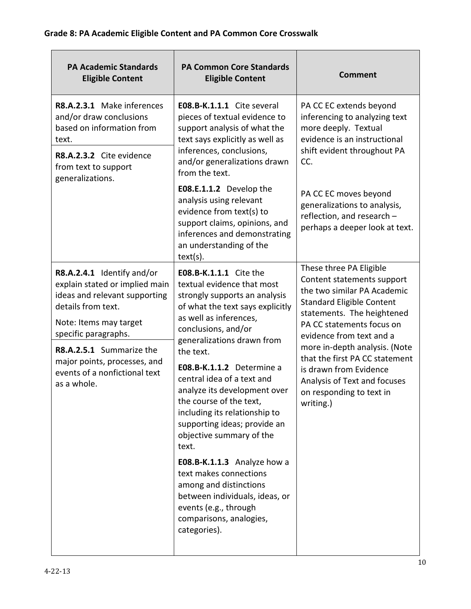| <b>PA Academic Standards</b><br><b>Eligible Content</b>                                                                                                                                                                                                                           | <b>PA Common Core Standards</b><br><b>Eligible Content</b>                                                                                                                                                                                                                                                                                                                                                                                                                                                                                                                                                                        | <b>Comment</b>                                                                                                                                                                                                                                                                                                                                                                        |
|-----------------------------------------------------------------------------------------------------------------------------------------------------------------------------------------------------------------------------------------------------------------------------------|-----------------------------------------------------------------------------------------------------------------------------------------------------------------------------------------------------------------------------------------------------------------------------------------------------------------------------------------------------------------------------------------------------------------------------------------------------------------------------------------------------------------------------------------------------------------------------------------------------------------------------------|---------------------------------------------------------------------------------------------------------------------------------------------------------------------------------------------------------------------------------------------------------------------------------------------------------------------------------------------------------------------------------------|
| R8.A.2.3.1 Make inferences<br>and/or draw conclusions<br>based on information from<br>text.<br>R8.A.2.3.2 Cite evidence<br>from text to support<br>generalizations.                                                                                                               | E08.B-K.1.1.1 Cite several<br>pieces of textual evidence to<br>support analysis of what the<br>text says explicitly as well as<br>inferences, conclusions,<br>and/or generalizations drawn<br>from the text.                                                                                                                                                                                                                                                                                                                                                                                                                      | PA CC EC extends beyond<br>inferencing to analyzing text<br>more deeply. Textual<br>evidence is an instructional<br>shift evident throughout PA<br>CC.                                                                                                                                                                                                                                |
|                                                                                                                                                                                                                                                                                   | E08.E.1.1.2 Develop the<br>analysis using relevant<br>evidence from text(s) to<br>support claims, opinions, and<br>inferences and demonstrating<br>an understanding of the<br>text(s).                                                                                                                                                                                                                                                                                                                                                                                                                                            | PA CC EC moves beyond<br>generalizations to analysis,<br>reflection, and research -<br>perhaps a deeper look at text.                                                                                                                                                                                                                                                                 |
| R8.A.2.4.1 Identify and/or<br>explain stated or implied main<br>ideas and relevant supporting<br>details from text.<br>Note: Items may target<br>specific paragraphs.<br>R8.A.2.5.1 Summarize the<br>major points, processes, and<br>events of a nonfictional text<br>as a whole. | <b>E08.B-K.1.1.1</b> Cite the<br>textual evidence that most<br>strongly supports an analysis<br>of what the text says explicitly<br>as well as inferences,<br>conclusions, and/or<br>generalizations drawn from<br>the text.<br>E08.B-K.1.1.2 Determine a<br>central idea of a text and<br>analyze its development over<br>the course of the text,<br>including its relationship to<br>supporting ideas; provide an<br>objective summary of the<br>text.<br>E08.B-K.1.1.3 Analyze how a<br>text makes connections<br>among and distinctions<br>between individuals, ideas, or<br>events (e.g., through<br>comparisons, analogies, | These three PA Eligible<br>Content statements support<br>the two similar PA Academic<br><b>Standard Eligible Content</b><br>statements. The heightened<br>PA CC statements focus on<br>evidence from text and a<br>more in-depth analysis. (Note<br>that the first PA CC statement<br>is drawn from Evidence<br>Analysis of Text and focuses<br>on responding to text in<br>writing.) |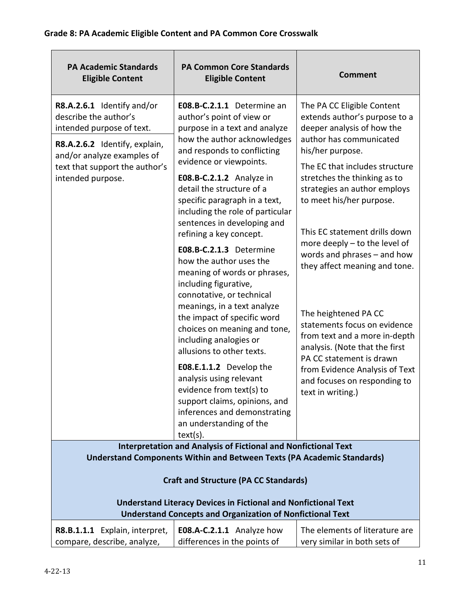| <b>PA Academic Standards</b><br><b>Eligible Content</b>                                                                                                                                                                                                                    | <b>PA Common Core Standards</b><br><b>Eligible Content</b>                                                                                                                                                                                                                                                                                                                                                                                                                                                                                                                                                                                                                                                   | <b>Comment</b>                                                                                                                                                                                                                                                                                                                                                                                                                                                                                                                                                                                    |
|----------------------------------------------------------------------------------------------------------------------------------------------------------------------------------------------------------------------------------------------------------------------------|--------------------------------------------------------------------------------------------------------------------------------------------------------------------------------------------------------------------------------------------------------------------------------------------------------------------------------------------------------------------------------------------------------------------------------------------------------------------------------------------------------------------------------------------------------------------------------------------------------------------------------------------------------------------------------------------------------------|---------------------------------------------------------------------------------------------------------------------------------------------------------------------------------------------------------------------------------------------------------------------------------------------------------------------------------------------------------------------------------------------------------------------------------------------------------------------------------------------------------------------------------------------------------------------------------------------------|
| R8.A.2.6.1 Identify and/or<br>describe the author's<br>intended purpose of text.<br>R8.A.2.6.2 Identify, explain,<br>and/or analyze examples of<br>text that support the author's<br>intended purpose.                                                                     | E08.B-C.2.1.1 Determine an<br>author's point of view or<br>purpose in a text and analyze<br>how the author acknowledges<br>and responds to conflicting<br>evidence or viewpoints.<br><b>E08.B-C.2.1.2</b> Analyze in<br>detail the structure of a<br>specific paragraph in a text,<br>including the role of particular<br>sentences in developing and<br>refining a key concept.<br>E08.B-C.2.1.3 Determine<br>how the author uses the<br>meaning of words or phrases,<br>including figurative,<br>connotative, or technical<br>meanings, in a text analyze<br>the impact of specific word<br>choices on meaning and tone,<br>including analogies or<br>allusions to other texts.<br>E08.E.1.1.2 Develop the | The PA CC Eligible Content<br>extends author's purpose to a<br>deeper analysis of how the<br>author has communicated<br>his/her purpose.<br>The EC that includes structure<br>stretches the thinking as to<br>strategies an author employs<br>to meet his/her purpose.<br>This EC statement drills down<br>more deeply - to the level of<br>words and phrases - and how<br>they affect meaning and tone.<br>The heightened PA CC<br>statements focus on evidence<br>from text and a more in-depth<br>analysis. (Note that the first<br>PA CC statement is drawn<br>from Evidence Analysis of Text |
|                                                                                                                                                                                                                                                                            | analysis using relevant<br>evidence from text(s) to<br>support claims, opinions, and<br>inferences and demonstrating<br>an understanding of the<br>$text(s)$ .                                                                                                                                                                                                                                                                                                                                                                                                                                                                                                                                               | and focuses on responding to<br>text in writing.)                                                                                                                                                                                                                                                                                                                                                                                                                                                                                                                                                 |
|                                                                                                                                                                                                                                                                            | <b>Interpretation and Analysis of Fictional and Nonfictional Text</b>                                                                                                                                                                                                                                                                                                                                                                                                                                                                                                                                                                                                                                        |                                                                                                                                                                                                                                                                                                                                                                                                                                                                                                                                                                                                   |
| <b>Understand Components Within and Between Texts (PA Academic Standards)</b><br><b>Craft and Structure (PA CC Standards)</b><br><b>Understand Literacy Devices in Fictional and Nonfictional Text</b><br><b>Understand Concepts and Organization of Nonfictional Text</b> |                                                                                                                                                                                                                                                                                                                                                                                                                                                                                                                                                                                                                                                                                                              |                                                                                                                                                                                                                                                                                                                                                                                                                                                                                                                                                                                                   |
| R8.B.1.1.1 Explain, interpret,<br>compare, describe, analyze,                                                                                                                                                                                                              | E08.A-C.2.1.1 Analyze how<br>differences in the points of                                                                                                                                                                                                                                                                                                                                                                                                                                                                                                                                                                                                                                                    | The elements of literature are<br>very similar in both sets of                                                                                                                                                                                                                                                                                                                                                                                                                                                                                                                                    |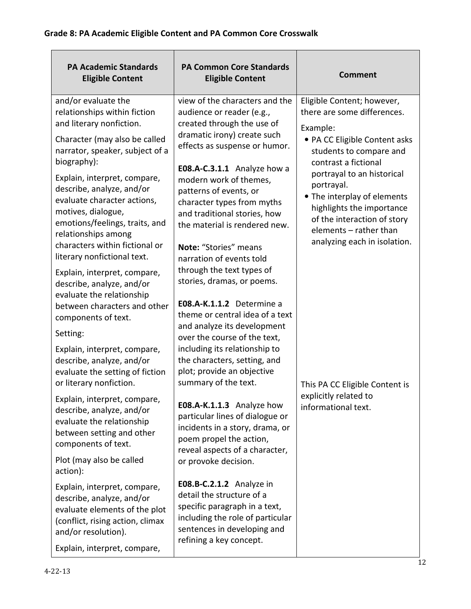| <b>PA Academic Standards</b><br><b>Eligible Content</b>                                                                                                                 | <b>PA Common Core Standards</b><br><b>Eligible Content</b>                                                                                                                           | <b>Comment</b>                                                                                                                                                                                |
|-------------------------------------------------------------------------------------------------------------------------------------------------------------------------|--------------------------------------------------------------------------------------------------------------------------------------------------------------------------------------|-----------------------------------------------------------------------------------------------------------------------------------------------------------------------------------------------|
| and/or evaluate the<br>relationships within fiction<br>and literary nonfiction.                                                                                         | view of the characters and the<br>audience or reader (e.g.,<br>created through the use of<br>dramatic irony) create such                                                             | Eligible Content; however,<br>there are some differences.<br>Example:                                                                                                                         |
| Character (may also be called<br>narrator, speaker, subject of a<br>biography):                                                                                         | effects as suspense or humor.                                                                                                                                                        | • PA CC Eligible Content asks<br>students to compare and<br>contrast a fictional                                                                                                              |
| Explain, interpret, compare,<br>describe, analyze, and/or<br>evaluate character actions,<br>motives, dialogue,<br>emotions/feelings, traits, and<br>relationships among | E08.A-C.3.1.1 Analyze how a<br>modern work of themes,<br>patterns of events, or<br>character types from myths<br>and traditional stories, how<br>the material is rendered new.       | portrayal to an historical<br>portrayal.<br>• The interplay of elements<br>highlights the importance<br>of the interaction of story<br>elements - rather than<br>analyzing each in isolation. |
| characters within fictional or<br>literary nonfictional text.                                                                                                           | Note: "Stories" means<br>narration of events told                                                                                                                                    |                                                                                                                                                                                               |
| Explain, interpret, compare,<br>describe, analyze, and/or<br>evaluate the relationship<br>between characters and other<br>components of text.                           | through the text types of<br>stories, dramas, or poems.<br>E08.A-K.1.1.2 Determine a<br>theme or central idea of a text                                                              |                                                                                                                                                                                               |
| Setting:                                                                                                                                                                | and analyze its development<br>over the course of the text,                                                                                                                          |                                                                                                                                                                                               |
| Explain, interpret, compare,<br>describe, analyze, and/or<br>evaluate the setting of fiction<br>or literary nonfiction.                                                 | including its relationship to<br>the characters, setting, and<br>plot; provide an objective<br>summary of the text.                                                                  | This PA CC Eligible Content is                                                                                                                                                                |
| Explain, interpret, compare,<br>describe, analyze, and/or<br>evaluate the relationship<br>between setting and other<br>components of text.                              | E08.A-K.1.1.3 Analyze how<br>particular lines of dialogue or<br>incidents in a story, drama, or<br>poem propel the action,<br>reveal aspects of a character,                         | explicitly related to<br>informational text.                                                                                                                                                  |
| Plot (may also be called<br>action):                                                                                                                                    | or provoke decision.                                                                                                                                                                 |                                                                                                                                                                                               |
| Explain, interpret, compare,<br>describe, analyze, and/or<br>evaluate elements of the plot<br>(conflict, rising action, climax<br>and/or resolution).                   | E08.B-C.2.1.2 Analyze in<br>detail the structure of a<br>specific paragraph in a text,<br>including the role of particular<br>sentences in developing and<br>refining a key concept. |                                                                                                                                                                                               |
| Explain, interpret, compare,                                                                                                                                            |                                                                                                                                                                                      |                                                                                                                                                                                               |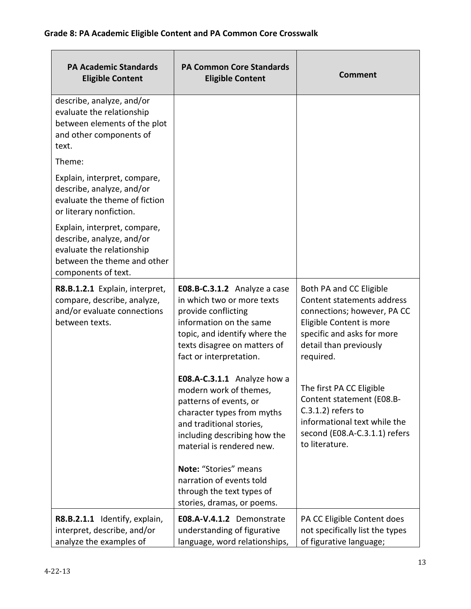| <b>PA Academic Standards</b><br><b>Eligible Content</b>                                                                                      | <b>PA Common Core Standards</b><br><b>Eligible Content</b>                                                                                                                                               | <b>Comment</b>                                                                                                                                                                        |
|----------------------------------------------------------------------------------------------------------------------------------------------|----------------------------------------------------------------------------------------------------------------------------------------------------------------------------------------------------------|---------------------------------------------------------------------------------------------------------------------------------------------------------------------------------------|
| describe, analyze, and/or<br>evaluate the relationship<br>between elements of the plot<br>and other components of<br>text.                   |                                                                                                                                                                                                          |                                                                                                                                                                                       |
| Theme:                                                                                                                                       |                                                                                                                                                                                                          |                                                                                                                                                                                       |
| Explain, interpret, compare,<br>describe, analyze, and/or<br>evaluate the theme of fiction<br>or literary nonfiction.                        |                                                                                                                                                                                                          |                                                                                                                                                                                       |
| Explain, interpret, compare,<br>describe, analyze, and/or<br>evaluate the relationship<br>between the theme and other<br>components of text. |                                                                                                                                                                                                          |                                                                                                                                                                                       |
| R8.B.1.2.1 Explain, interpret,<br>compare, describe, analyze,<br>and/or evaluate connections<br>between texts.                               | E08.B-C.3.1.2 Analyze a case<br>in which two or more texts<br>provide conflicting<br>information on the same<br>topic, and identify where the<br>texts disagree on matters of<br>fact or interpretation. | Both PA and CC Eligible<br>Content statements address<br>connections; however, PA CC<br>Eligible Content is more<br>specific and asks for more<br>detail than previously<br>required. |
|                                                                                                                                              | E08.A-C.3.1.1 Analyze how a<br>modern work of themes,<br>patterns of events, or<br>character types from myths<br>and traditional stories,<br>including describing how the<br>material is rendered new.   | The first PA CC Eligible<br>Content statement (E08.B-<br>$C.3.1.2$ ) refers to<br>informational text while the<br>second (E08.A-C.3.1.1) refers<br>to literature.                     |
|                                                                                                                                              | Note: "Stories" means<br>narration of events told<br>through the text types of<br>stories, dramas, or poems.                                                                                             |                                                                                                                                                                                       |
| R8.B.2.1.1 Identify, explain,<br>interpret, describe, and/or<br>analyze the examples of                                                      | E08.A-V.4.1.2 Demonstrate<br>understanding of figurative<br>language, word relationships,                                                                                                                | PA CC Eligible Content does<br>not specifically list the types<br>of figurative language;                                                                                             |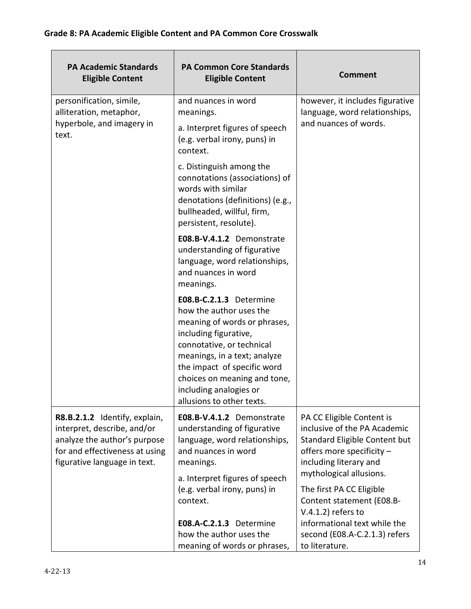| <b>PA Academic Standards</b><br><b>Eligible Content</b>                                                                                                        | <b>PA Common Core Standards</b><br><b>Eligible Content</b>                                                                                                                                                                                                                                     | <b>Comment</b>                                                                                                                                                               |
|----------------------------------------------------------------------------------------------------------------------------------------------------------------|------------------------------------------------------------------------------------------------------------------------------------------------------------------------------------------------------------------------------------------------------------------------------------------------|------------------------------------------------------------------------------------------------------------------------------------------------------------------------------|
| personification, simile,<br>alliteration, metaphor,<br>hyperbole, and imagery in<br>text.                                                                      | and nuances in word<br>meanings.<br>a. Interpret figures of speech<br>(e.g. verbal irony, puns) in<br>context.                                                                                                                                                                                 | however, it includes figurative<br>language, word relationships,<br>and nuances of words.                                                                                    |
|                                                                                                                                                                | c. Distinguish among the<br>connotations (associations) of<br>words with similar<br>denotations (definitions) (e.g.,<br>bullheaded, willful, firm,<br>persistent, resolute).                                                                                                                   |                                                                                                                                                                              |
|                                                                                                                                                                | E08.B-V.4.1.2 Demonstrate<br>understanding of figurative<br>language, word relationships,<br>and nuances in word<br>meanings.                                                                                                                                                                  |                                                                                                                                                                              |
|                                                                                                                                                                | E08.B-C.2.1.3 Determine<br>how the author uses the<br>meaning of words or phrases,<br>including figurative,<br>connotative, or technical<br>meanings, in a text; analyze<br>the impact of specific word<br>choices on meaning and tone,<br>including analogies or<br>allusions to other texts. |                                                                                                                                                                              |
| R8.B.2.1.2 Identify, explain,<br>interpret, describe, and/or<br>analyze the author's purpose<br>for and effectiveness at using<br>figurative language in text. | E08.B-V.4.1.2 Demonstrate<br>understanding of figurative<br>language, word relationships,<br>and nuances in word<br>meanings.<br>a. Interpret figures of speech                                                                                                                                | PA CC Eligible Content is<br>inclusive of the PA Academic<br>Standard Eligible Content but<br>offers more specificity -<br>including literary and<br>mythological allusions. |
|                                                                                                                                                                | (e.g. verbal irony, puns) in<br>context.<br>E08.A-C.2.1.3 Determine<br>how the author uses the<br>meaning of words or phrases,                                                                                                                                                                 | The first PA CC Eligible<br>Content statement (E08.B-<br>$V.4.1.2$ ) refers to<br>informational text while the<br>second (E08.A-C.2.1.3) refers<br>to literature.            |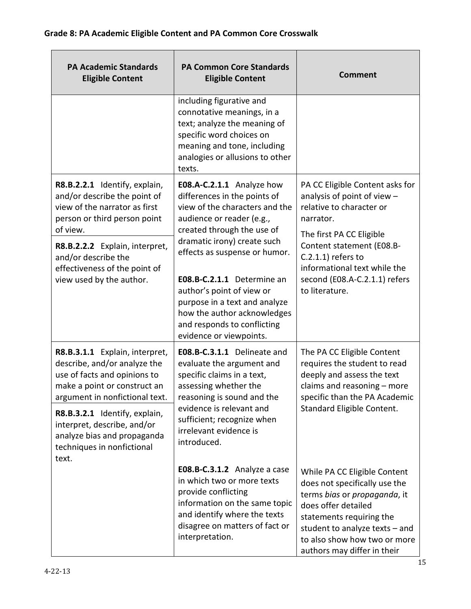| <b>PA Academic Standards</b><br><b>Eligible Content</b>                                                                                                                                                                                                                                                | <b>PA Common Core Standards</b><br><b>Eligible Content</b>                                                                                                                                                                                                                                                                                                                                                  | <b>Comment</b>                                                                                                                                                                                                                                                               |
|--------------------------------------------------------------------------------------------------------------------------------------------------------------------------------------------------------------------------------------------------------------------------------------------------------|-------------------------------------------------------------------------------------------------------------------------------------------------------------------------------------------------------------------------------------------------------------------------------------------------------------------------------------------------------------------------------------------------------------|------------------------------------------------------------------------------------------------------------------------------------------------------------------------------------------------------------------------------------------------------------------------------|
|                                                                                                                                                                                                                                                                                                        | including figurative and<br>connotative meanings, in a<br>text; analyze the meaning of<br>specific word choices on<br>meaning and tone, including<br>analogies or allusions to other<br>texts.                                                                                                                                                                                                              |                                                                                                                                                                                                                                                                              |
| R8.B.2.2.1 Identify, explain,<br>and/or describe the point of<br>view of the narrator as first<br>person or third person point<br>of view.<br>R8.B.2.2.2 Explain, interpret,<br>and/or describe the<br>effectiveness of the point of<br>view used by the author.                                       | E08.A-C.2.1.1 Analyze how<br>differences in the points of<br>view of the characters and the<br>audience or reader (e.g.,<br>created through the use of<br>dramatic irony) create such<br>effects as suspense or humor.<br>E08.B-C.2.1.1 Determine an<br>author's point of view or<br>purpose in a text and analyze<br>how the author acknowledges<br>and responds to conflicting<br>evidence or viewpoints. | PA CC Eligible Content asks for<br>analysis of point of view -<br>relative to character or<br>narrator.<br>The first PA CC Eligible<br>Content statement (E08.B-<br>$C.2.1.1$ ) refers to<br>informational text while the<br>second (E08.A-C.2.1.1) refers<br>to literature. |
| R8.B.3.1.1 Explain, interpret,<br>describe, and/or analyze the<br>use of facts and opinions to<br>make a point or construct an<br>argument in nonfictional text.<br>R8.B.3.2.1 Identify, explain,<br>interpret, describe, and/or<br>analyze bias and propaganda<br>techniques in nonfictional<br>text. | E08.B-C.3.1.1 Delineate and<br>evaluate the argument and<br>specific claims in a text,<br>assessing whether the<br>reasoning is sound and the<br>evidence is relevant and<br>sufficient; recognize when<br>irrelevant evidence is<br>introduced.                                                                                                                                                            | The PA CC Eligible Content<br>requires the student to read<br>deeply and assess the text<br>claims and reasoning - more<br>specific than the PA Academic<br>Standard Eligible Content.                                                                                       |
|                                                                                                                                                                                                                                                                                                        | E08.B-C.3.1.2 Analyze a case<br>in which two or more texts<br>provide conflicting<br>information on the same topic<br>and identify where the texts<br>disagree on matters of fact or<br>interpretation.                                                                                                                                                                                                     | While PA CC Eligible Content<br>does not specifically use the<br>terms bias or propaganda, it<br>does offer detailed<br>statements requiring the<br>student to analyze texts - and<br>to also show how two or more<br>authors may differ in their                            |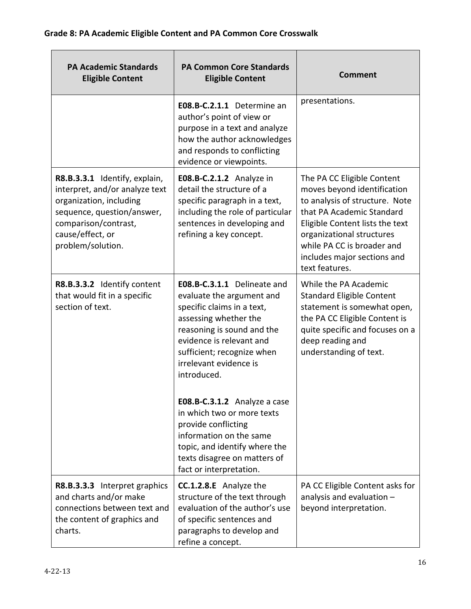| <b>PA Academic Standards</b><br><b>Eligible Content</b>                                                                                                                                   | <b>PA Common Core Standards</b><br><b>Eligible Content</b>                                                                                                                                                                                       | <b>Comment</b>                                                                                                                                                                                                                                                          |
|-------------------------------------------------------------------------------------------------------------------------------------------------------------------------------------------|--------------------------------------------------------------------------------------------------------------------------------------------------------------------------------------------------------------------------------------------------|-------------------------------------------------------------------------------------------------------------------------------------------------------------------------------------------------------------------------------------------------------------------------|
|                                                                                                                                                                                           | E08.B-C.2.1.1 Determine an<br>author's point of view or<br>purpose in a text and analyze<br>how the author acknowledges<br>and responds to conflicting<br>evidence or viewpoints.                                                                | presentations.                                                                                                                                                                                                                                                          |
| R8.B.3.3.1 Identify, explain,<br>interpret, and/or analyze text<br>organization, including<br>sequence, question/answer,<br>comparison/contrast,<br>cause/effect, or<br>problem/solution. | E08.B-C.2.1.2 Analyze in<br>detail the structure of a<br>specific paragraph in a text,<br>including the role of particular<br>sentences in developing and<br>refining a key concept.                                                             | The PA CC Eligible Content<br>moves beyond identification<br>to analysis of structure. Note<br>that PA Academic Standard<br>Eligible Content lists the text<br>organizational structures<br>while PA CC is broader and<br>includes major sections and<br>text features. |
| R8.B.3.3.2 Identify content<br>that would fit in a specific<br>section of text.                                                                                                           | E08.B-C.3.1.1 Delineate and<br>evaluate the argument and<br>specific claims in a text,<br>assessing whether the<br>reasoning is sound and the<br>evidence is relevant and<br>sufficient; recognize when<br>irrelevant evidence is<br>introduced. | While the PA Academic<br><b>Standard Eligible Content</b><br>statement is somewhat open,<br>the PA CC Eligible Content is<br>quite specific and focuses on a<br>deep reading and<br>understanding of text.                                                              |
|                                                                                                                                                                                           | E08.B-C.3.1.2 Analyze a case<br>in which two or more texts<br>provide conflicting<br>information on the same<br>topic, and identify where the<br>texts disagree on matters of<br>fact or interpretation.                                         |                                                                                                                                                                                                                                                                         |
| R8.B.3.3.3 Interpret graphics<br>and charts and/or make<br>connections between text and<br>the content of graphics and<br>charts.                                                         | <b>CC.1.2.8.E</b> Analyze the<br>structure of the text through<br>evaluation of the author's use<br>of specific sentences and<br>paragraphs to develop and<br>refine a concept.                                                                  | PA CC Eligible Content asks for<br>analysis and evaluation -<br>beyond interpretation.                                                                                                                                                                                  |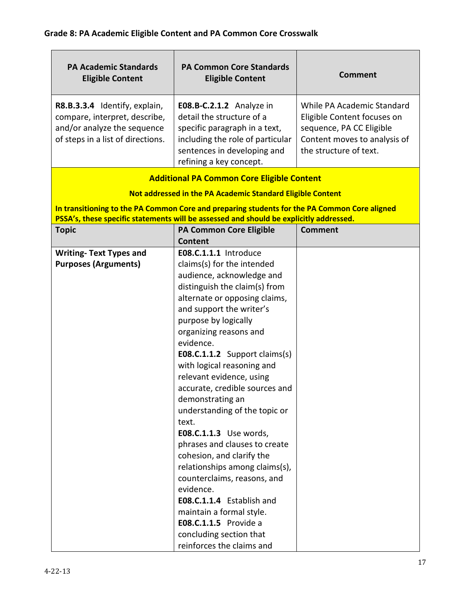| E08.B-C.2.1.2 Analyze in<br>detail the structure of a<br>specific paragraph in a text,                                                                                                                                                                                                                                                                                                                                                                                                                                                                                                                                                                                                | While PA Academic Standard<br>Eligible Content focuses on                                                                                                                                                                                                |
|---------------------------------------------------------------------------------------------------------------------------------------------------------------------------------------------------------------------------------------------------------------------------------------------------------------------------------------------------------------------------------------------------------------------------------------------------------------------------------------------------------------------------------------------------------------------------------------------------------------------------------------------------------------------------------------|----------------------------------------------------------------------------------------------------------------------------------------------------------------------------------------------------------------------------------------------------------|
| sentences in developing and<br>refining a key concept.                                                                                                                                                                                                                                                                                                                                                                                                                                                                                                                                                                                                                                | sequence, PA CC Eligible<br>Content moves to analysis of<br>the structure of text.                                                                                                                                                                       |
| <b>Additional PA Common Core Eligible Content</b>                                                                                                                                                                                                                                                                                                                                                                                                                                                                                                                                                                                                                                     |                                                                                                                                                                                                                                                          |
| Not addressed in the PA Academic Standard Eligible Content                                                                                                                                                                                                                                                                                                                                                                                                                                                                                                                                                                                                                            |                                                                                                                                                                                                                                                          |
| In transitioning to the PA Common Core and preparing students for the PA Common Core aligned                                                                                                                                                                                                                                                                                                                                                                                                                                                                                                                                                                                          |                                                                                                                                                                                                                                                          |
|                                                                                                                                                                                                                                                                                                                                                                                                                                                                                                                                                                                                                                                                                       |                                                                                                                                                                                                                                                          |
|                                                                                                                                                                                                                                                                                                                                                                                                                                                                                                                                                                                                                                                                                       | <b>Comment</b>                                                                                                                                                                                                                                           |
|                                                                                                                                                                                                                                                                                                                                                                                                                                                                                                                                                                                                                                                                                       |                                                                                                                                                                                                                                                          |
| claims(s) for the intended<br>audience, acknowledge and<br>distinguish the claim(s) from<br>alternate or opposing claims,<br>and support the writer's<br>purpose by logically<br>organizing reasons and<br>evidence.<br><b>E08.C.1.1.2</b> Support claims(s)<br>with logical reasoning and<br>relevant evidence, using<br>accurate, credible sources and<br>demonstrating an<br>understanding of the topic or<br>text.<br>E08.C.1.1.3 Use words,<br>phrases and clauses to create<br>cohesion, and clarify the<br>relationships among claims(s),<br>counterclaims, reasons, and<br>evidence.<br>E08.C.1.1.4 Establish and<br>maintain a formal style.<br><b>E08.C.1.1.5</b> Provide a |                                                                                                                                                                                                                                                          |
|                                                                                                                                                                                                                                                                                                                                                                                                                                                                                                                                                                                                                                                                                       | including the role of particular<br>PSSA's, these specific statements will be assessed and should be explicitly addressed.<br><b>PA Common Core Eligible</b><br>Content<br>E08.C.1.1.1 Introduce<br>concluding section that<br>reinforces the claims and |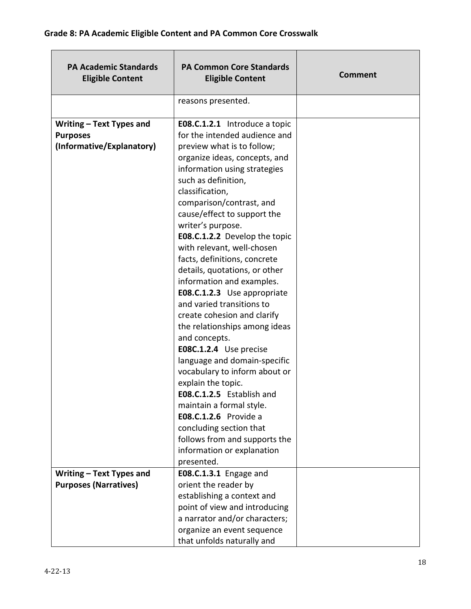| <b>PA Academic Standards</b><br><b>Eligible Content</b>                  | <b>PA Common Core Standards</b><br><b>Eligible Content</b>                                                                                                                                                                                                                                                                                                                                                                                                                                                                                                                                                                                                                                                                                                                                                                                           | <b>Comment</b> |
|--------------------------------------------------------------------------|------------------------------------------------------------------------------------------------------------------------------------------------------------------------------------------------------------------------------------------------------------------------------------------------------------------------------------------------------------------------------------------------------------------------------------------------------------------------------------------------------------------------------------------------------------------------------------------------------------------------------------------------------------------------------------------------------------------------------------------------------------------------------------------------------------------------------------------------------|----------------|
|                                                                          | reasons presented.                                                                                                                                                                                                                                                                                                                                                                                                                                                                                                                                                                                                                                                                                                                                                                                                                                   |                |
| Writing - Text Types and<br><b>Purposes</b><br>(Informative/Explanatory) | <b>E08.C.1.2.1</b> Introduce a topic<br>for the intended audience and<br>preview what is to follow;<br>organize ideas, concepts, and<br>information using strategies<br>such as definition,<br>classification,<br>comparison/contrast, and<br>cause/effect to support the<br>writer's purpose.<br>E08.C.1.2.2 Develop the topic<br>with relevant, well-chosen<br>facts, definitions, concrete<br>details, quotations, or other<br>information and examples.<br>E08.C.1.2.3 Use appropriate<br>and varied transitions to<br>create cohesion and clarify<br>the relationships among ideas<br>and concepts.<br>E08C.1.2.4 Use precise<br>language and domain-specific<br>vocabulary to inform about or<br>explain the topic.<br><b>E08.C.1.2.5</b> Establish and<br>maintain a formal style.<br><b>E08.C.1.2.6</b> Provide a<br>concluding section that |                |
|                                                                          | information or explanation<br>presented.                                                                                                                                                                                                                                                                                                                                                                                                                                                                                                                                                                                                                                                                                                                                                                                                             |                |
| Writing - Text Types and<br><b>Purposes (Narratives)</b>                 | <b>E08.C.1.3.1</b> Engage and<br>orient the reader by<br>establishing a context and<br>point of view and introducing<br>a narrator and/or characters;<br>organize an event sequence                                                                                                                                                                                                                                                                                                                                                                                                                                                                                                                                                                                                                                                                  |                |
|                                                                          | follows from and supports the<br>that unfolds naturally and                                                                                                                                                                                                                                                                                                                                                                                                                                                                                                                                                                                                                                                                                                                                                                                          |                |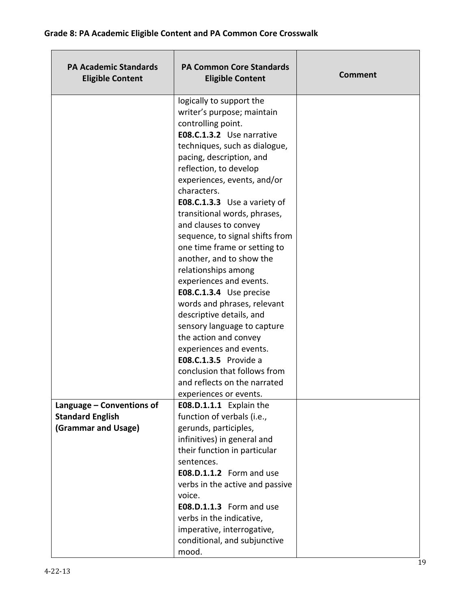| <b>PA Academic Standards</b><br><b>Eligible Content</b>                     | <b>PA Common Core Standards</b><br><b>Eligible Content</b>                                                                                                                                                                                                                                                                                                                                                                                                                                                                                                                                                                                                                                                                                                        | <b>Comment</b> |
|-----------------------------------------------------------------------------|-------------------------------------------------------------------------------------------------------------------------------------------------------------------------------------------------------------------------------------------------------------------------------------------------------------------------------------------------------------------------------------------------------------------------------------------------------------------------------------------------------------------------------------------------------------------------------------------------------------------------------------------------------------------------------------------------------------------------------------------------------------------|----------------|
|                                                                             | logically to support the<br>writer's purpose; maintain<br>controlling point.<br>E08.C.1.3.2 Use narrative<br>techniques, such as dialogue,<br>pacing, description, and<br>reflection, to develop<br>experiences, events, and/or<br>characters.<br>E08.C.1.3.3 Use a variety of<br>transitional words, phrases,<br>and clauses to convey<br>sequence, to signal shifts from<br>one time frame or setting to<br>another, and to show the<br>relationships among<br>experiences and events.<br>E08.C.1.3.4 Use precise<br>words and phrases, relevant<br>descriptive details, and<br>sensory language to capture<br>the action and convey<br>experiences and events.<br><b>E08.C.1.3.5</b> Provide a<br>conclusion that follows from<br>and reflects on the narrated |                |
|                                                                             | experiences or events.                                                                                                                                                                                                                                                                                                                                                                                                                                                                                                                                                                                                                                                                                                                                            |                |
| Language - Conventions of<br><b>Standard English</b><br>(Grammar and Usage) | E08.D.1.1.1 Explain the<br>function of verbals (i.e.,<br>gerunds, participles,<br>infinitives) in general and<br>their function in particular<br>sentences.<br>E08.D.1.1.2 Form and use<br>verbs in the active and passive<br>voice.<br><b>E08.D.1.1.3</b> Form and use<br>verbs in the indicative,<br>imperative, interrogative,<br>conditional, and subjunctive<br>mood.                                                                                                                                                                                                                                                                                                                                                                                        |                |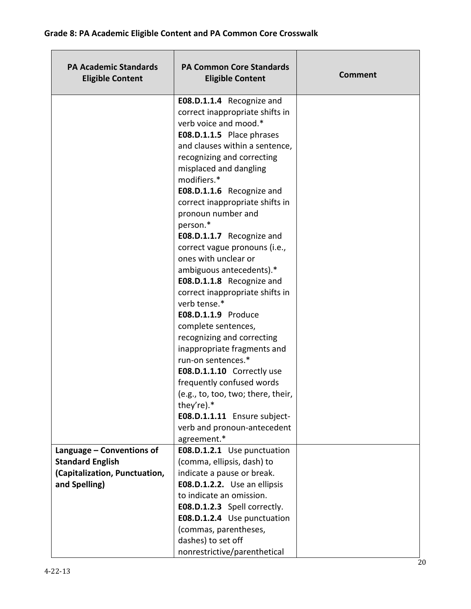| <b>PA Academic Standards</b><br><b>Eligible Content</b> | <b>PA Common Core Standards</b><br><b>Eligible Content</b> | <b>Comment</b> |
|---------------------------------------------------------|------------------------------------------------------------|----------------|
|                                                         | E08.D.1.1.4 Recognize and                                  |                |
|                                                         | correct inappropriate shifts in                            |                |
|                                                         | verb voice and mood.*                                      |                |
|                                                         | E08.D.1.1.5 Place phrases                                  |                |
|                                                         | and clauses within a sentence,                             |                |
|                                                         | recognizing and correcting                                 |                |
|                                                         | misplaced and dangling                                     |                |
|                                                         | modifiers.*                                                |                |
|                                                         | E08.D.1.1.6 Recognize and                                  |                |
|                                                         | correct inappropriate shifts in                            |                |
|                                                         | pronoun number and                                         |                |
|                                                         | person.*                                                   |                |
|                                                         | E08.D.1.1.7 Recognize and                                  |                |
|                                                         | correct vague pronouns (i.e.,                              |                |
|                                                         | ones with unclear or                                       |                |
|                                                         | ambiguous antecedents).*<br>E08.D.1.1.8 Recognize and      |                |
|                                                         | correct inappropriate shifts in                            |                |
|                                                         | verb tense.*                                               |                |
|                                                         | E08.D.1.1.9 Produce                                        |                |
|                                                         | complete sentences,                                        |                |
|                                                         | recognizing and correcting                                 |                |
|                                                         | inappropriate fragments and                                |                |
|                                                         | run-on sentences.*                                         |                |
|                                                         | E08.D.1.1.10 Correctly use                                 |                |
|                                                         | frequently confused words                                  |                |
|                                                         | (e.g., to, too, two; there, their,                         |                |
|                                                         | they're).*                                                 |                |
|                                                         | E08.D.1.1.11 Ensure subject-                               |                |
|                                                         | verb and pronoun-antecedent                                |                |
|                                                         | agreement.*                                                |                |
| Language - Conventions of                               | E08.D.1.2.1 Use punctuation                                |                |
| <b>Standard English</b>                                 | (comma, ellipsis, dash) to                                 |                |
| (Capitalization, Punctuation,                           | indicate a pause or break.                                 |                |
| and Spelling)                                           | E08.D.1.2.2. Use an ellipsis                               |                |
|                                                         | to indicate an omission.                                   |                |
|                                                         | E08.D.1.2.3 Spell correctly.                               |                |
|                                                         | E08.D.1.2.4 Use punctuation                                |                |
|                                                         | (commas, parentheses,                                      |                |
|                                                         | dashes) to set off                                         |                |
|                                                         | nonrestrictive/parenthetical                               |                |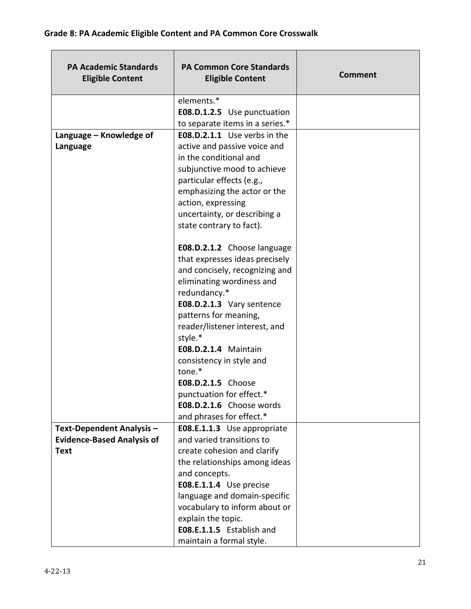| <b>PA Academic Standards</b><br><b>Eligible Content</b> | <b>PA Common Core Standards</b><br><b>Eligible Content</b> | <b>Comment</b> |
|---------------------------------------------------------|------------------------------------------------------------|----------------|
|                                                         | elements.*                                                 |                |
|                                                         | E08.D.1.2.5 Use punctuation                                |                |
|                                                         | to separate items in a series.*                            |                |
| Language – Knowledge of                                 | E08.D.2.1.1 Use verbs in the                               |                |
| Language                                                | active and passive voice and                               |                |
|                                                         | in the conditional and                                     |                |
|                                                         | subjunctive mood to achieve                                |                |
|                                                         | particular effects (e.g.,                                  |                |
|                                                         | emphasizing the actor or the                               |                |
|                                                         | action, expressing                                         |                |
|                                                         | uncertainty, or describing a                               |                |
|                                                         | state contrary to fact).                                   |                |
|                                                         | E08.D.2.1.2 Choose language                                |                |
|                                                         | that expresses ideas precisely                             |                |
|                                                         | and concisely, recognizing and                             |                |
|                                                         | eliminating wordiness and                                  |                |
|                                                         | redundancy.*                                               |                |
|                                                         | E08.D.2.1.3 Vary sentence                                  |                |
|                                                         | patterns for meaning,                                      |                |
|                                                         | reader/listener interest, and                              |                |
|                                                         | style.*                                                    |                |
|                                                         | <b>E08.D.2.1.4 Maintain</b>                                |                |
|                                                         | consistency in style and                                   |                |
|                                                         | tone.*                                                     |                |
|                                                         | E08.D.2.1.5 Choose                                         |                |
|                                                         | punctuation for effect.*                                   |                |
|                                                         | E08.D.2.1.6 Choose words                                   |                |
|                                                         | and phrases for effect.*                                   |                |
| Text-Dependent Analysis -                               | E08.E.1.1.3 Use appropriate                                |                |
| <b>Evidence-Based Analysis of</b>                       | and varied transitions to                                  |                |
| <b>Text</b>                                             | create cohesion and clarify                                |                |
|                                                         | the relationships among ideas                              |                |
|                                                         | and concepts.                                              |                |
|                                                         | E08.E.1.1.4 Use precise                                    |                |
|                                                         | language and domain-specific                               |                |
|                                                         | vocabulary to inform about or                              |                |
|                                                         | explain the topic.                                         |                |
|                                                         | E08.E.1.1.5 Establish and                                  |                |
|                                                         | maintain a formal style.                                   |                |